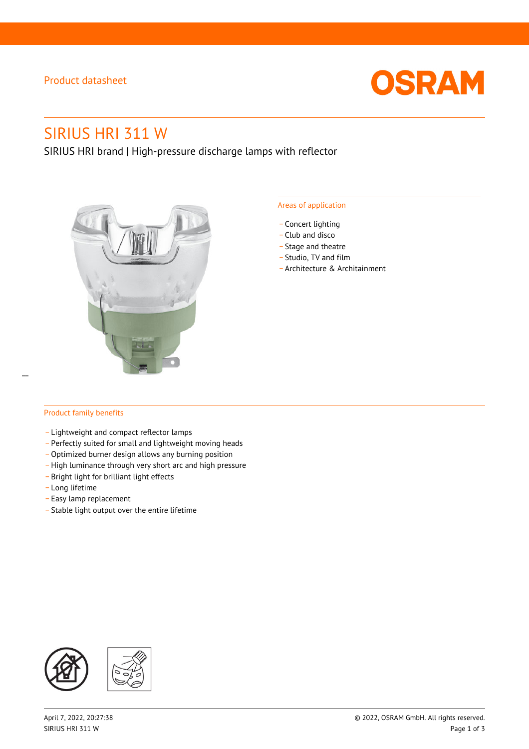### Product datasheet



# SIRIUS HRI 311 W

SIRIUS HRI brand | High-pressure discharge lamps with reflector



#### Areas of application

- Concert lighting
- \_ Club and disco
- Stage and theatre
- \_ Studio, TV and film
- \_ Architecture & Architainment

### Product family benefits

 $\overline{a}$ 

- \_ Lightweight and compact reflector lamps
- \_ Perfectly suited for small and lightweight moving heads
- Optimized burner design allows any burning position
- High luminance through very short arc and high pressure
- \_ Bright light for brilliant light effects
- \_ Long lifetime
- \_ Easy lamp replacement
- \_ Stable light output over the entire lifetime

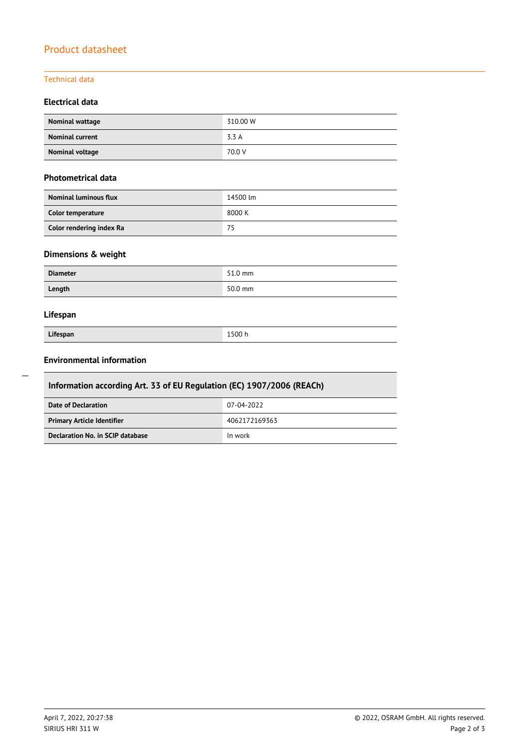## Product datasheet

### Technical data

### **Electrical data**

| Nominal wattage        | 310.00 W |
|------------------------|----------|
| <b>Nominal current</b> | 3.3 A    |
| Nominal voltage        | 70.0 V   |

#### **Photometrical data**

| <b>Nominal luminous flux</b> | 14500 lm |
|------------------------------|----------|
| Color temperature            | 8000 K   |
| Color rendering index Ra     | 75       |

### **Dimensions & weight**

| <b>Diameter</b> | 51.0 mm |
|-----------------|---------|
| Length          | 50.0 mm |

### **Lifespan**

| Lifespan |  |
|----------|--|

**Lifespan** 1500 h

### **Environmental information**

| Information according Art. 33 of EU Regulation (EC) 1907/2006 (REACh) |               |  |  |
|-----------------------------------------------------------------------|---------------|--|--|
| Date of Declaration                                                   | 07-04-2022    |  |  |
| <b>Primary Article Identifier</b>                                     | 4062172169363 |  |  |
| Declaration No. in SCIP database                                      | In work       |  |  |